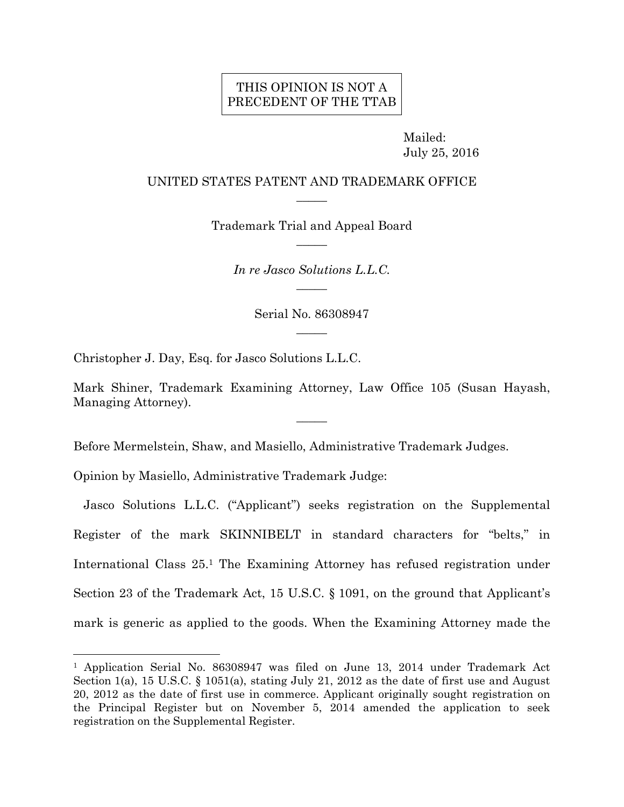## THIS OPINION IS NOT A PRECEDENT OF THE TTAB

 Mailed: July 25, 2016

## UNITED STATES PATENT AND TRADEMARK OFFICE  $\overline{\phantom{a}}$

Trademark Trial and Appeal Board  $\overline{\phantom{a}}$ 

> *In re Jasco Solutions L.L.C.*   $\overline{\phantom{a}}$

> > Serial No. 86308947  $\overline{\phantom{a}}$

Christopher J. Day, Esq. for Jasco Solutions L.L.C.

Mark Shiner, Trademark Examining Attorney, Law Office 105 (Susan Hayash, Managing Attorney).  $\overline{\phantom{a}}$ 

Before Mermelstein, Shaw, and Masiello, Administrative Trademark Judges.

Opinion by Masiello, Administrative Trademark Judge:

 $\overline{a}$ 

 Jasco Solutions L.L.C. ("Applicant") seeks registration on the Supplemental Register of the mark SKINNIBELT in standard characters for "belts," in International Class 25.1 The Examining Attorney has refused registration under Section 23 of the Trademark Act, 15 U.S.C. § 1091, on the ground that Applicant's mark is generic as applied to the goods. When the Examining Attorney made the

<sup>&</sup>lt;sup>1</sup> Application Serial No. 86308947 was filed on June 13, 2014 under Trademark Act Section 1(a), 15 U.S.C. § 1051(a), stating July 21, 2012 as the date of first use and August 20, 2012 as the date of first use in commerce. Applicant originally sought registration on the Principal Register but on November 5, 2014 amended the application to seek registration on the Supplemental Register.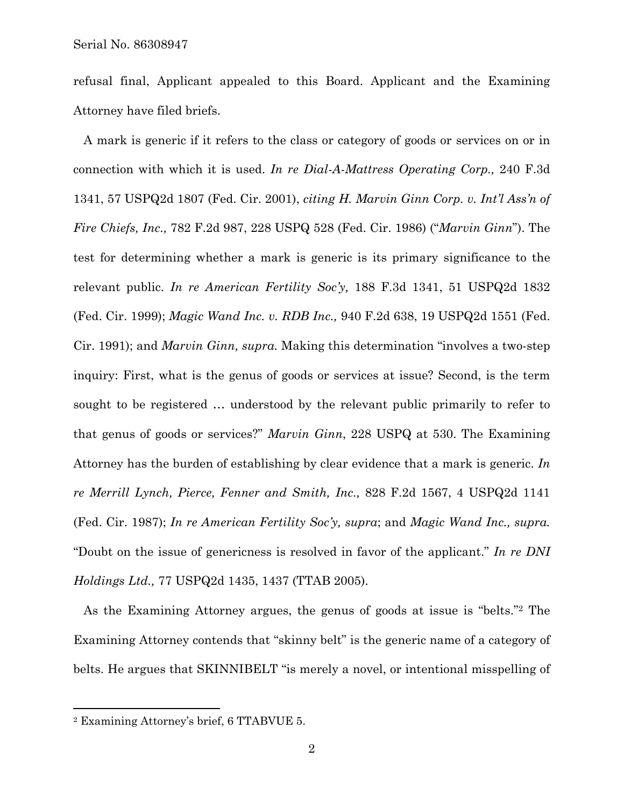refusal final, Applicant appealed to this Board. Applicant and the Examining Attorney have filed briefs.

 A mark is generic if it refers to the class or category of goods or services on or in connection with which it is used. *In re Dial-A-Mattress Operating Corp.,* 240 F.3d 1341, 57 USPQ2d 1807 (Fed. Cir. 2001), *citing H. Marvin Ginn Corp. v. Int'l Ass'n of Fire Chiefs, Inc.,* 782 F.2d 987, 228 USPQ 528 (Fed. Cir. 1986) ("*Marvin Ginn*"). The test for determining whether a mark is generic is its primary significance to the relevant public. *In re American Fertility Soc'y,* 188 F.3d 1341, 51 USPQ2d 1832 (Fed. Cir. 1999); *Magic Wand Inc. v. RDB Inc.,* 940 F.2d 638, 19 USPQ2d 1551 (Fed. Cir. 1991); and *Marvin Ginn, supra.* Making this determination "involves a two-step inquiry: First, what is the genus of goods or services at issue? Second, is the term sought to be registered … understood by the relevant public primarily to refer to that genus of goods or services?" *Marvin Ginn*, 228 USPQ at 530. The Examining Attorney has the burden of establishing by clear evidence that a mark is generic. *In re Merrill Lynch, Pierce, Fenner and Smith, Inc.,* 828 F.2d 1567, 4 USPQ2d 1141 (Fed. Cir. 1987); *In re American Fertility Soc'y, supra*; and *Magic Wand Inc., supra.* "Doubt on the issue of genericness is resolved in favor of the applicant." *In re DNI Holdings Ltd.,* 77 USPQ2d 1435, 1437 (TTAB 2005).

 As the Examining Attorney argues, the genus of goods at issue is "belts."2 The Examining Attorney contends that "skinny belt" is the generic name of a category of belts. He argues that SKINNIBELT "is merely a novel, or intentional misspelling of

1

<sup>2</sup> Examining Attorney's brief, 6 TTABVUE 5.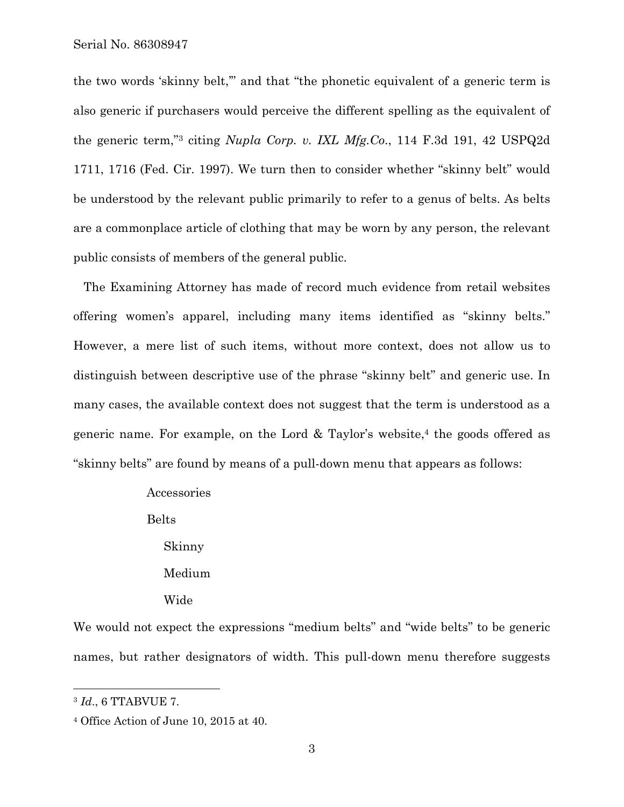Serial No. 86308947

the two words 'skinny belt,'" and that "the phonetic equivalent of a generic term is also generic if purchasers would perceive the different spelling as the equivalent of the generic term,"3 citing *Nupla Corp. v. IXL Mfg.Co*., 114 F.3d 191, 42 USPQ2d 1711, 1716 (Fed. Cir. 1997). We turn then to consider whether "skinny belt" would be understood by the relevant public primarily to refer to a genus of belts. As belts are a commonplace article of clothing that may be worn by any person, the relevant public consists of members of the general public.

 The Examining Attorney has made of record much evidence from retail websites offering women's apparel, including many items identified as "skinny belts." However, a mere list of such items, without more context, does not allow us to distinguish between descriptive use of the phrase "skinny belt" and generic use. In many cases, the available context does not suggest that the term is understood as a generic name. For example, on the Lord  $&$  Taylor's website,<sup>4</sup> the goods offered as "skinny belts" are found by means of a pull-down menu that appears as follows:

> Accessories Belts Skinny Medium Wide

We would not expect the expressions "medium belts" and "wide belts" to be generic names, but rather designators of width. This pull-down menu therefore suggests

 $\overline{a}$ 

<sup>3</sup> *Id*., 6 TTABVUE 7.

<sup>4</sup> Office Action of June 10, 2015 at 40.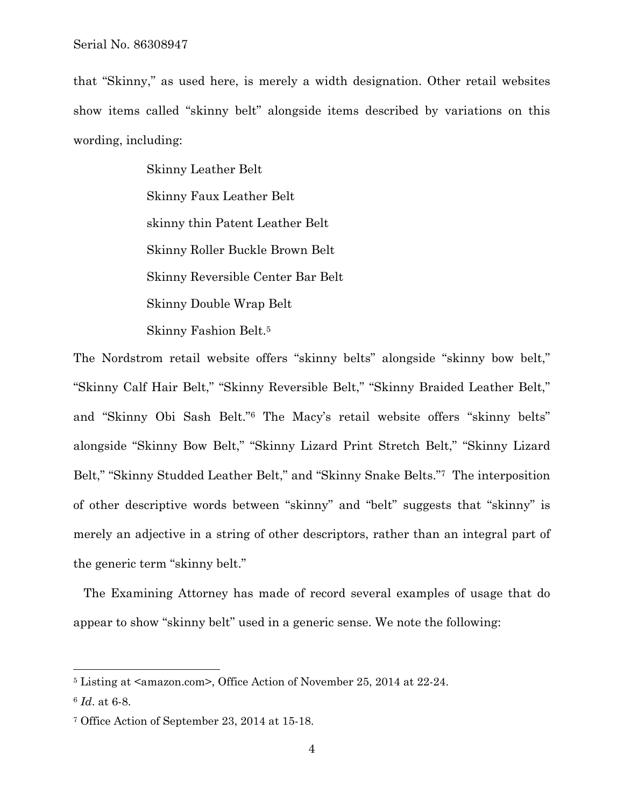Serial No. 86308947

that "Skinny," as used here, is merely a width designation. Other retail websites show items called "skinny belt" alongside items described by variations on this wording, including:

> Skinny Leather Belt Skinny Faux Leather Belt skinny thin Patent Leather Belt Skinny Roller Buckle Brown Belt Skinny Reversible Center Bar Belt Skinny Double Wrap Belt Skinny Fashion Belt.5

The Nordstrom retail website offers "skinny belts" alongside "skinny bow belt," "Skinny Calf Hair Belt," "Skinny Reversible Belt," "Skinny Braided Leather Belt," and "Skinny Obi Sash Belt."6 The Macy's retail website offers "skinny belts" alongside "Skinny Bow Belt," "Skinny Lizard Print Stretch Belt," "Skinny Lizard Belt," "Skinny Studded Leather Belt," and "Skinny Snake Belts."7 The interposition of other descriptive words between "skinny" and "belt" suggests that "skinny" is merely an adjective in a string of other descriptors, rather than an integral part of the generic term "skinny belt."

 The Examining Attorney has made of record several examples of usage that do appear to show "skinny belt" used in a generic sense. We note the following:

l

<sup>5</sup> Listing at <amazon.com>, Office Action of November 25, 2014 at 22-24.

<sup>6</sup> *Id*. at 6-8.

<sup>7</sup> Office Action of September 23, 2014 at 15-18.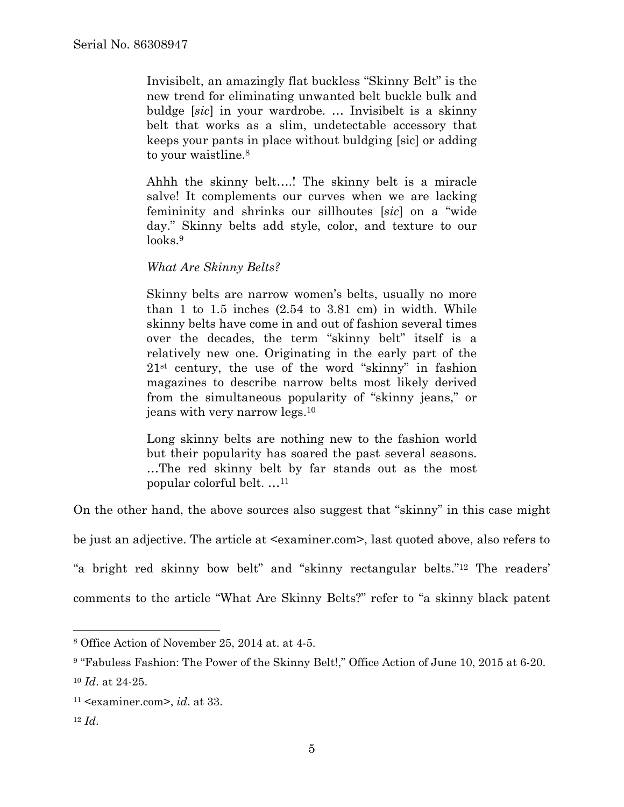Invisibelt, an amazingly flat buckless "Skinny Belt" is the new trend for eliminating unwanted belt buckle bulk and buldge [*sic*] in your wardrobe. … Invisibelt is a skinny belt that works as a slim, undetectable accessory that keeps your pants in place without buldging [sic] or adding to your waistline.<sup>8</sup>

Ahhh the skinny belt….! The skinny belt is a miracle salve! It complements our curves when we are lacking femininity and shrinks our sillhoutes [*sic*] on a "wide day." Skinny belts add style, color, and texture to our looks.<sup>9</sup>

*What Are Skinny Belts?* 

Skinny belts are narrow women's belts, usually no more than 1 to  $1.5$  inches  $(2.54 \text{ to } 3.81 \text{ cm})$  in width. While skinny belts have come in and out of fashion several times over the decades, the term "skinny belt" itself is a relatively new one. Originating in the early part of the 21st century, the use of the word "skinny" in fashion magazines to describe narrow belts most likely derived from the simultaneous popularity of "skinny jeans," or jeans with very narrow legs.10

Long skinny belts are nothing new to the fashion world but their popularity has soared the past several seasons. …The red skinny belt by far stands out as the most popular colorful belt. …11

On the other hand, the above sources also suggest that "skinny" in this case might be just an adjective. The article at <examiner.com>, last quoted above, also refers to "a bright red skinny bow belt" and "skinny rectangular belts."12 The readers' comments to the article "What Are Skinny Belts?" refer to "a skinny black patent

1

<sup>8</sup> Office Action of November 25, 2014 at. at 4-5.

<sup>&</sup>lt;sup>9</sup> "Fabuless Fashion: The Power of the Skinny Belt!," Office Action of June 10, 2015 at 6-20.

<sup>10</sup> *Id*. at 24-25.

<sup>11 &</sup>lt;examiner.com>, *id*. at 33.

<sup>12</sup> *Id*.